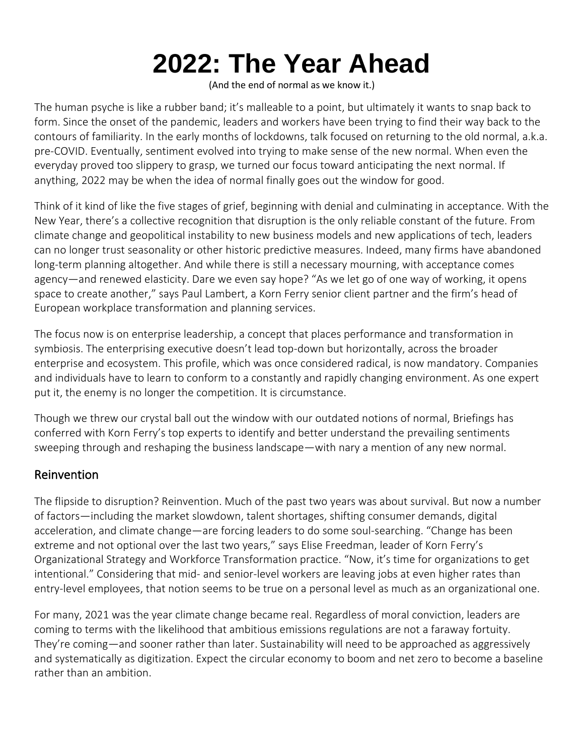# **2022: The Year Ahead**

(And the end of normal as we know it.)

The human psyche is like a rubber band; it's malleable to a point, but ultimately it wants to snap back to form. Since the onset of the pandemic, leaders and workers have been trying to find their way back to the contours of familiarity. In the early months of lockdowns, talk focused on returning to the old normal, a.k.a. pre-COVID. Eventually, sentiment evolved into trying to make sense of the new normal. When even the everyday proved too slippery to grasp, we turned our focus toward anticipating the next normal. If anything, 2022 may be when the idea of normal finally goes out the window for good.

Think of it kind of like the five stages of grief, beginning with denial and culminating in acceptance. With the New Year, there's a collective recognition that disruption is the only reliable constant of the future. From climate change and geopolitical instability to new business models and new applications of tech, leaders can no longer trust seasonality or other historic predictive measures. Indeed, many firms have abandoned long-term planning altogether. And while there is still a necessary mourning, with acceptance comes agency—and renewed elasticity. Dare we even say hope? "As we let go of one way of working, it opens space to create another," says Paul Lambert, a Korn Ferry senior client partner and the firm's head of European workplace transformation and planning services.

The focus now is on enterprise leadership, a concept that places performance and transformation in symbiosis. The enterprising executive doesn't lead top-down but horizontally, across the broader enterprise and ecosystem. This profile, which was once considered radical, is now mandatory. Companies and individuals have to learn to conform to a constantly and rapidly changing environment. As one expert put it, the enemy is no longer the competition. It is circumstance.

Though we threw our crystal ball out the window with our outdated notions of normal, Briefings has conferred with Korn Ferry's top experts to identify and better understand the prevailing sentiments sweeping through and reshaping the business landscape—with nary a mention of any new normal.

#### Reinvention

The flipside to disruption? Reinvention. Much of the past two years was about survival. But now a number of factors—including the market slowdown, talent shortages, shifting consumer demands, digital acceleration, and climate change—are forcing leaders to do some soul-searching. "Change has been extreme and not optional over the last two years," says Elise Freedman, leader of Korn Ferry's Organizational Strategy and Workforce Transformation practice. "Now, it's time for organizations to get intentional." Considering that mid- and senior-level workers are leaving jobs at even higher rates than entry-level employees, that notion seems to be true on a personal level as much as an organizational one.

For many, 2021 was the year climate change became real. Regardless of moral conviction, leaders are coming to terms with the likelihood that ambitious emissions regulations are not a faraway fortuity. They're coming—and sooner rather than later. Sustainability will need to be approached as aggressively and systematically as digitization. Expect the circular economy to boom and net zero to become a baseline rather than an ambition.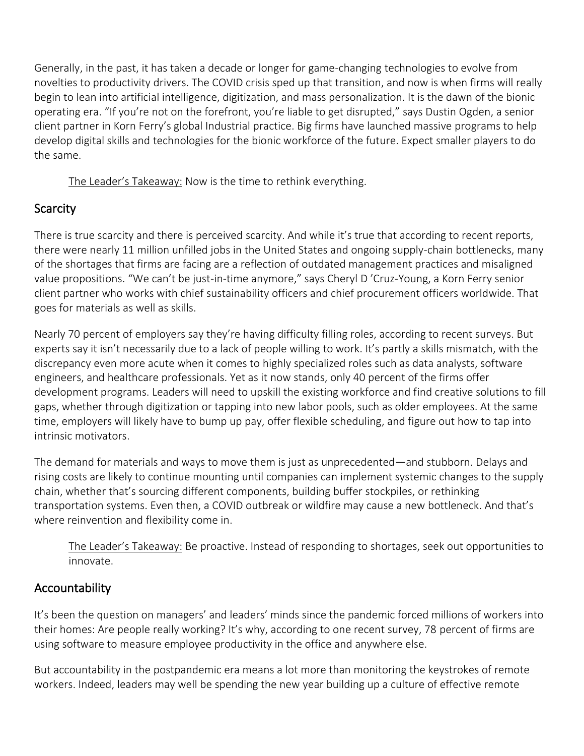Generally, in the past, it has taken a decade or longer for game-changing technologies to evolve from novelties to productivity drivers. The COVID crisis sped up that transition, and now is when firms will really begin to lean into artificial intelligence, digitization, and mass personalization. It is the dawn of the bionic operating era. "If you're not on the forefront, you're liable to get disrupted," says Dustin Ogden, a senior client partner in Korn Ferry's global Industrial practice. Big firms have launched massive programs to help develop digital skills and technologies for the bionic workforce of the future. Expect smaller players to do the same.

The Leader's Takeaway: Now is the time to rethink everything.

# **Scarcity**

There is true scarcity and there is perceived scarcity. And while it's true that according to recent reports, there were nearly 11 million unfilled jobs in the United States and ongoing supply-chain bottlenecks, many of the shortages that firms are facing are a reflection of outdated management practices and misaligned value propositions. "We can't be just-in-time anymore," says Cheryl D 'Cruz-Young, a Korn Ferry senior client partner who works with chief sustainability officers and chief procurement officers worldwide. That goes for materials as well as skills.

Nearly 70 percent of employers say they're having difficulty filling roles, according to recent surveys. But experts say it isn't necessarily due to a lack of people willing to work. It's partly a skills mismatch, with the discrepancy even more acute when it comes to highly specialized roles such as data analysts, software engineers, and healthcare professionals. Yet as it now stands, only 40 percent of the firms offer development programs. Leaders will need to upskill the existing workforce and find creative solutions to fill gaps, whether through digitization or tapping into new labor pools, such as older employees. At the same time, employers will likely have to bump up pay, offer flexible scheduling, and figure out how to tap into intrinsic motivators.

The demand for materials and ways to move them is just as unprecedented—and stubborn. Delays and rising costs are likely to continue mounting until companies can implement systemic changes to the supply chain, whether that's sourcing different components, building buffer stockpiles, or rethinking transportation systems. Even then, a COVID outbreak or wildfire may cause a new bottleneck. And that's where reinvention and flexibility come in.

The Leader's Takeaway: Be proactive. Instead of responding to shortages, seek out opportunities to innovate.

# Accountability

It's been the question on managers' and leaders' minds since the pandemic forced millions of workers into their homes: Are people really working? It's why, according to one recent survey, 78 percent of firms are using software to measure employee productivity in the office and anywhere else.

But accountability in the postpandemic era means a lot more than monitoring the keystrokes of remote workers. Indeed, leaders may well be spending the new year building up a culture of effective remote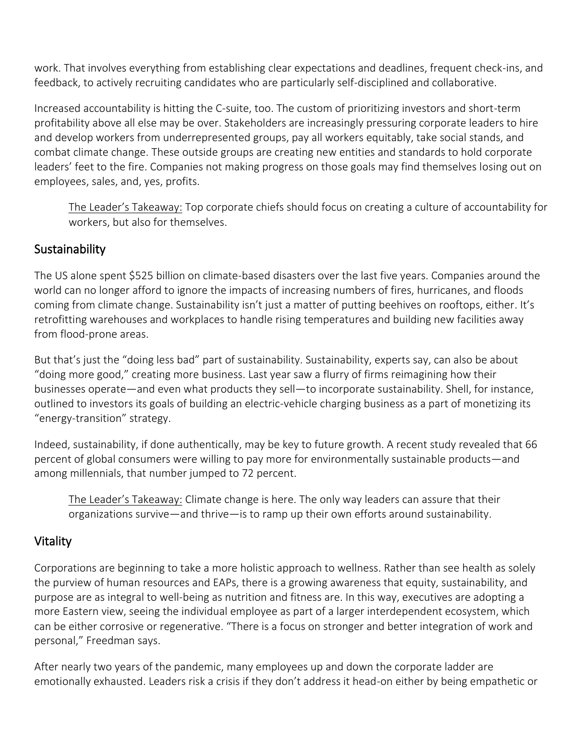work. That involves everything from establishing clear expectations and deadlines, frequent check-ins, and feedback, to actively recruiting candidates who are particularly self-disciplined and collaborative.

Increased accountability is hitting the C-suite, too. The custom of prioritizing investors and short-term profitability above all else may be over. Stakeholders are increasingly pressuring corporate leaders to hire and develop workers from underrepresented groups, pay all workers equitably, take social stands, and combat climate change. These outside groups are creating new entities and standards to hold corporate leaders' feet to the fire. Companies not making progress on those goals may find themselves losing out on employees, sales, and, yes, profits.

The Leader's Takeaway: Top corporate chiefs should focus on creating a culture of accountability for workers, but also for themselves.

### Sustainability

The US alone spent \$525 billion on climate-based disasters over the last five years. Companies around the world can no longer afford to ignore the impacts of increasing numbers of fires, hurricanes, and floods coming from climate change. Sustainability isn't just a matter of putting beehives on rooftops, either. It's retrofitting warehouses and workplaces to handle rising temperatures and building new facilities away from flood-prone areas.

But that's just the "doing less bad" part of sustainability. Sustainability, experts say, can also be about "doing more good," creating more business. Last year saw a flurry of firms reimagining how their businesses operate—and even what products they sell—to incorporate sustainability. Shell, for instance, outlined to investors its goals of building an electric-vehicle charging business as a part of monetizing its "energy-transition" strategy.

Indeed, sustainability, if done authentically, may be key to future growth. A recent study revealed that 66 percent of global consumers were willing to pay more for environmentally sustainable products—and among millennials, that number jumped to 72 percent.

The Leader's Takeaway: Climate change is here. The only way leaders can assure that their organizations survive—and thrive—is to ramp up their own efforts around sustainability.

#### Vitality

Corporations are beginning to take a more holistic approach to wellness. Rather than see health as solely the purview of human resources and EAPs, there is a growing awareness that equity, sustainability, and purpose are as integral to well-being as nutrition and fitness are. In this way, executives are adopting a more Eastern view, seeing the individual employee as part of a larger interdependent ecosystem, which can be either corrosive or regenerative. "There is a focus on stronger and better integration of work and personal," Freedman says.

After nearly two years of the pandemic, many employees up and down the corporate ladder are emotionally exhausted. Leaders risk a crisis if they don't address it head-on either by being empathetic or